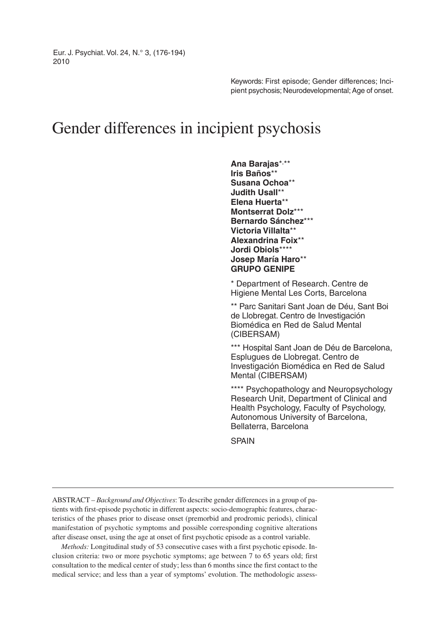Eur. J. Psychiat. Vol. 24, N.° 3, (176-194) 2010

> Keywords: First episode; Gender differences; Incipient psychosis; Neurodevelopmental; Age of onset.

# Gender differences in incipient psychosis

**Ana Barajas**\*, \*\* **Iris Baños**\*\* **Susana Ochoa**\*\* **Judith Usall**\*\* **Elena Huerta**\*\* **Montserrat Dolz**\*\*\* **Bernardo Sánchez**\*\*\* **Victoria Villalta**\*\* **Alexandrina Foix**\*\* **Jordi Obiols**\*\*\*\* **Josep María Haro**\*\* **GRUPO GENIPE**

\* Department of Research. Centre de Higiene Mental Les Corts, Barcelona

\*\* Parc Sanitari Sant Joan de Déu, Sant Boi de Llobregat. Centro de Investigación Biomédica en Red de Salud Mental (CIBERSAM)

\*\*\* Hospital Sant Joan de Déu de Barcelona, Esplugues de Llobregat. Centro de Investigación Biomédica en Red de Salud Mental (CIBERSAM)

\*\*\*\* Psychopathology and Neuropsychology Research Unit, Department of Clinical and Health Psychology, Faculty of Psychology, Autonomous University of Barcelona, Bellaterra, Barcelona

**SPAIN** 

ABSTRACT – *Background and Objectives*: To describe gender differences in a group of patients with first-episode psychotic in different aspects: socio-demographic features, characteristics of the phases prior to disease onset (premorbid and prodromic periods), clinical manifestation of psychotic symptoms and possible corresponding cognitive alterations after disease onset, using the age at onset of first psychotic episode as a control variable.

*Methods:* Longitudinal study of 53 consecutive cases with a first psychotic episode. Inclusion criteria: two or more psychotic symptoms; age between 7 to 65 years old; first consultation to the medical center of study; less than 6 months since the first contact to the medical service; and less than a year of symptoms' evolution. The methodologic assess-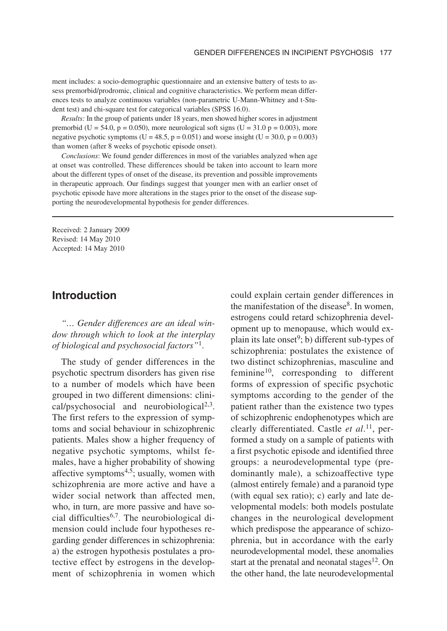ment includes: a socio-demographic questionnaire and an extensive battery of tests to assess premorbid/prodromic, clinical and cognitive characteristics. We perform mean differences tests to analyze continuous variables (non-parametric U-Mann-Whitney and t-Student test) and chi-square test for categorical variables (SPSS 16.0).

*Results:* In the group of patients under 18 years, men showed higher scores in adjustment premorbid (U = 54.0, p = 0.050), more neurological soft signs (U = 31.0 p = 0.003), more negative psychotic symptoms (U = 48.5, p = 0.051) and worse insight (U = 30.0, p = 0.003) than women (after 8 weeks of psychotic episode onset).

*Conclusions*: We found gender differences in most of the variables analyzed when age at onset was controlled. These differences should be taken into account to learn more about the different types of onset of the disease, its prevention and possible improvements in therapeutic approach. Our findings suggest that younger men with an earlier onset of psychotic episode have more alterations in the stages prior to the onset of the disease supporting the neurodevelopmental hypothesis for gender differences.

Received: 2 January 2009 Revised: 14 May 2010 Accepted: 14 May 2010

### **Introduction**

*"… Gender differences are an ideal window through which to look at the interplay of biological and psychosocial factors"*1.

The study of gender differences in the psychotic spectrum disorders has given rise to a number of models which have been grouped in two different dimensions: clinical/psychosocial and neurobiological $2,3$ . The first refers to the expression of symptoms and social behaviour in schizophrenic patients. Males show a higher frequency of negative psychotic symptoms, whilst females, have a higher probability of showing affective symptoms $4,5$ ; usually, women with schizophrenia are more active and have a wider social network than affected men, who, in turn, are more passive and have social difficulties<sup>6,7</sup>. The neurobiological dimension could include four hypotheses regarding gender differences in schizophrenia: a) the estrogen hypothesis postulates a protective effect by estrogens in the development of schizophrenia in women which

could explain certain gender differences in the manifestation of the disease $8$ . In women, estrogens could retard schizophrenia development up to menopause, which would explain its late onset $9$ ; b) different sub-types of schizophrenia: postulates the existence of two distinct schizophrenias, masculine and feminine<sup>10</sup>, corresponding to different forms of expression of specific psychotic symptoms according to the gender of the patient rather than the existence two types of schizophrenic endophenotypes which are clearly differentiated. Castle *et al*. 11, performed a study on a sample of patients with a first psychotic episode and identified three groups: a neurodevelopmental type (predominantly male), a schizoaffective type (almost entirely female) and a paranoid type (with equal sex ratio); c) early and late developmental models: both models postulate changes in the neurological development which predispose the appearance of schizophrenia, but in accordance with the early neurodevelopmental model, these anomalies start at the prenatal and neonatal stages $12$ . On the other hand, the late neurodevelopmental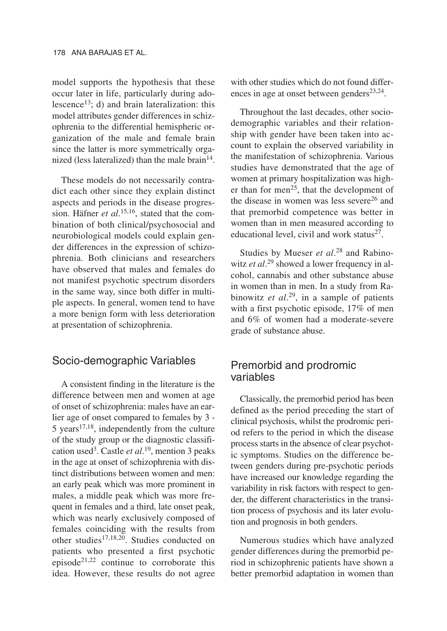model supports the hypothesis that these occur later in life, particularly during adolescence<sup>13</sup>; d) and brain lateralization: this model attributes gender differences in schizophrenia to the differential hemispheric organization of the male and female brain since the latter is more symmetrically organized (less lateralized) than the male brain $14$ .

These models do not necessarily contradict each other since they explain distinct aspects and periods in the disease progression. Häfner *et al*. 15,16, stated that the combination of both clinical/psychosocial and neurobiological models could explain gender differences in the expression of schizophrenia. Both clinicians and researchers have observed that males and females do not manifest psychotic spectrum disorders in the same way, since both differ in multiple aspects. In general, women tend to have a more benign form with less deterioration at presentation of schizophrenia.

#### Socio-demographic Variables

A consistent finding in the literature is the difference between men and women at age of onset of schizophrenia: males have an earlier age of onset compared to females by 3 - 5 years $17,18$ , independently from the culture of the study group or the diagnostic classification used3. Castle *et al*. 19, mention 3 peaks in the age at onset of schizophrenia with distinct distributions between women and men: an early peak which was more prominent in males, a middle peak which was more frequent in females and a third, late onset peak, which was nearly exclusively composed of females coinciding with the results from other studies<sup>17,18,20</sup>. Studies conducted on patients who presented a first psychotic episode21,22 continue to corroborate this idea. However, these results do not agree

with other studies which do not found differences in age at onset between genders $23,24$ .

Throughout the last decades, other sociodemographic variables and their relationship with gender have been taken into account to explain the observed variability in the manifestation of schizophrenia. Various studies have demonstrated that the age of women at primary hospitalization was higher than for men<sup>25</sup>, that the development of the disease in women was less severe<sup>26</sup> and that premorbid competence was better in women than in men measured according to educational level, civil and work status $27$ .

Studies by Mueser *et al*. <sup>28</sup> and Rabinowitz *et al*. <sup>29</sup> showed a lower frequency in alcohol, cannabis and other substance abuse in women than in men. In a study from Rabinowitz *et al*. 29, in a sample of patients with a first psychotic episode, 17% of men and 6% of women had a moderate-severe grade of substance abuse.

# Premorbid and prodromic variables

Classically, the premorbid period has been defined as the period preceding the start of clinical psychosis, whilst the prodromic period refers to the period in which the disease process starts in the absence of clear psychotic symptoms. Studies on the difference between genders during pre-psychotic periods have increased our knowledge regarding the variability in risk factors with respect to gender, the different characteristics in the transition process of psychosis and its later evolution and prognosis in both genders.

Numerous studies which have analyzed gender differences during the premorbid period in schizophrenic patients have shown a better premorbid adaptation in women than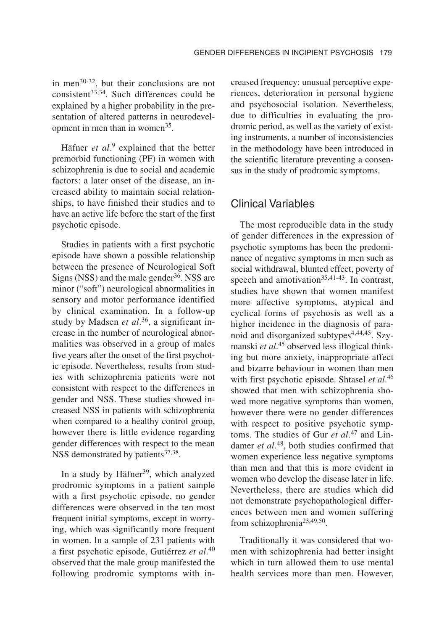in men30-32, but their conclusions are not  $consistent<sup>33,34</sup>$ . Such differences could be explained by a higher probability in the presentation of altered patterns in neurodevelopment in men than in women<sup>35</sup>.

Häfner *et al*. <sup>9</sup> explained that the better premorbid functioning (PF) in women with schizophrenia is due to social and academic factors: a later onset of the disease, an increased ability to maintain social relationships, to have finished their studies and to have an active life before the start of the first psychotic episode.

Studies in patients with a first psychotic episode have shown a possible relationship between the presence of Neurological Soft Signs (NSS) and the male gender $36$ . NSS are minor ("soft") neurological abnormalities in sensory and motor performance identified by clinical examination. In a follow-up study by Madsen *et al*. 36, a significant increase in the number of neurological abnormalities was observed in a group of males five years after the onset of the first psychotic episode. Nevertheless, results from studies with schizophrenia patients were not consistent with respect to the differences in gender and NSS. These studies showed increased NSS in patients with schizophrenia when compared to a healthy control group, however there is little evidence regarding gender differences with respect to the mean NSS demonstrated by patients<sup>37,38</sup>.

In a study by Häfner<sup>39</sup>, which analyzed prodromic symptoms in a patient sample with a first psychotic episode, no gender differences were observed in the ten most frequent initial symptoms, except in worrying, which was significantly more frequent in women. In a sample of 231 patients with a first psychotic episode, Gutiérrez *et al*. 40 observed that the male group manifested the following prodromic symptoms with increased frequency: unusual perceptive experiences, deterioration in personal hygiene and psychosocial isolation. Nevertheless, due to difficulties in evaluating the prodromic period, as well as the variety of existing instruments, a number of inconsistencies in the methodology have been introduced in the scientific literature preventing a consensus in the study of prodromic symptoms.

#### Clinical Variables

The most reproducible data in the study of gender differences in the expression of psychotic symptoms has been the predominance of negative symptoms in men such as social withdrawal, blunted effect, poverty of speech and amotivation<sup>35,41-43</sup>. In contrast, studies have shown that women manifest more affective symptoms, atypical and cyclical forms of psychosis as well as a higher incidence in the diagnosis of paranoid and disorganized subtypes<sup>4,44,45</sup>. Szymanski *et al*. <sup>45</sup> observed less illogical thinking but more anxiety, inappropriate affect and bizarre behaviour in women than men with first psychotic episode. Shtasel *et al*. 46 showed that men with schizophrenia showed more negative symptoms than women, however there were no gender differences with respect to positive psychotic symptoms. The studies of Gur *et al*. <sup>47</sup> and Lindamer *et al*. 48, both studies confirmed that women experience less negative symptoms than men and that this is more evident in women who develop the disease later in life. Nevertheless, there are studies which did not demonstrate psychopathological differences between men and women suffering from schizophrenia23,49,50.

Traditionally it was considered that women with schizophrenia had better insight which in turn allowed them to use mental health services more than men. However,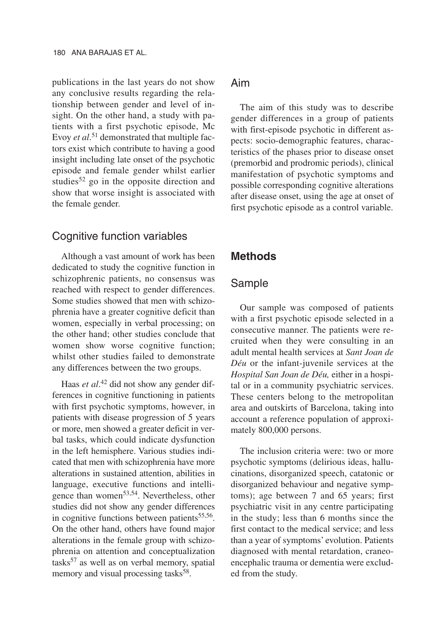publications in the last years do not show any conclusive results regarding the relationship between gender and level of insight. On the other hand, a study with patients with a first psychotic episode, Mc Evoy *et al*. <sup>51</sup> demonstrated that multiple factors exist which contribute to having a good insight including late onset of the psychotic episode and female gender whilst earlier studies<sup>52</sup> go in the opposite direction and show that worse insight is associated with the female gender.

#### Cognitive function variables

Although a vast amount of work has been dedicated to study the cognitive function in schizophrenic patients, no consensus was reached with respect to gender differences. Some studies showed that men with schizophrenia have a greater cognitive deficit than women, especially in verbal processing; on the other hand; other studies conclude that women show worse cognitive function; whilst other studies failed to demonstrate any differences between the two groups.

Haas *et al*. <sup>42</sup> did not show any gender differences in cognitive functioning in patients with first psychotic symptoms, however, in patients with disease progression of 5 years or more, men showed a greater deficit in verbal tasks, which could indicate dysfunction in the left hemisphere. Various studies indicated that men with schizophrenia have more alterations in sustained attention, abilities in language, executive functions and intelligence than women<sup>53,54</sup>. Nevertheless, other studies did not show any gender differences in cognitive functions between patients<sup>55,56</sup>. On the other hand, others have found major alterations in the female group with schizophrenia on attention and conceptualization tasks<sup>57</sup> as well as on verbal memory, spatial memory and visual processing tasks<sup>58</sup>.

# Aim

The aim of this study was to describe gender differences in a group of patients with first-episode psychotic in different aspects: socio-demographic features, characteristics of the phases prior to disease onset (premorbid and prodromic periods), clinical manifestation of psychotic symptoms and possible corresponding cognitive alterations after disease onset, using the age at onset of first psychotic episode as a control variable.

### **Methods**

#### Sample

Our sample was composed of patients with a first psychotic episode selected in a consecutive manner. The patients were recruited when they were consulting in an adult mental health services at *Sant Joan de Déu* or the infant-juvenile services at the *Hospital San Joan de Déu,* either in a hospital or in a community psychiatric services. These centers belong to the metropolitan area and outskirts of Barcelona, taking into account a reference population of approximately 800,000 persons.

The inclusion criteria were: two or more psychotic symptoms (delirious ideas, hallucinations, disorganized speech, catatonic or disorganized behaviour and negative symptoms); age between 7 and 65 years; first psychiatric visit in any centre participating in the study; less than 6 months since the first contact to the medical service; and less than a year of symptoms' evolution. Patients diagnosed with mental retardation, craneoencephalic trauma or dementia were excluded from the study.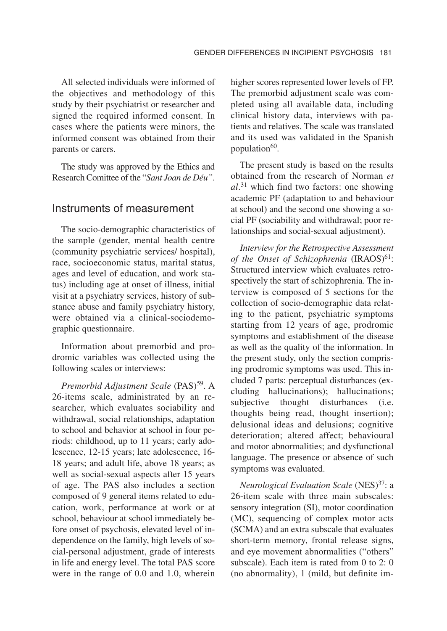All selected individuals were informed of the objectives and methodology of this study by their psychiatrist or researcher and signed the required informed consent. In cases where the patients were minors, the informed consent was obtained from their parents or carers.

The study was approved by the Ethics and Research Comittee of the "*Sant Joan de Déu"*.

#### Instruments of measurement

The socio-demographic characteristics of the sample (gender, mental health centre (community psychiatric services/ hospital), race, socioeconomic status, marital status, ages and level of education, and work status) including age at onset of illness, initial visit at a psychiatry services, history of substance abuse and family psychiatry history, were obtained via a clinical-sociodemographic questionnaire.

Information about premorbid and prodromic variables was collected using the following scales or interviews:

*Premorbid Adjustment Scale* (PAS)<sup>59</sup>. A 26-items scale, administrated by an researcher, which evaluates sociability and withdrawal, social relationships, adaptation to school and behavior at school in four periods: childhood, up to 11 years; early adolescence, 12-15 years; late adolescence, 16- 18 years; and adult life, above 18 years; as well as social-sexual aspects after 15 years of age. The PAS also includes a section composed of 9 general items related to education, work, performance at work or at school, behaviour at school immediately before onset of psychosis, elevated level of independence on the family, high levels of social-personal adjustment, grade of interests in life and energy level. The total PAS score were in the range of 0.0 and 1.0, wherein higher scores represented lower levels of FP. The premorbid adjustment scale was completed using all available data, including clinical history data, interviews with patients and relatives. The scale was translated and its used was validated in the Spanish population $60$ .

The present study is based on the results obtained from the research of Norman *et al*. <sup>31</sup> which find two factors: one showing academic PF (adaptation to and behaviour at school) and the second one showing a social PF (sociability and withdrawal; poor relationships and social-sexual adjustment).

*Interview for the Retrospective Assessment of the Onset of Schizophrenia* (IRAOS)<sup>61</sup>: Structured interview which evaluates retrospectively the start of schizophrenia. The interview is composed of 5 sections for the collection of socio-demographic data relating to the patient, psychiatric symptoms starting from 12 years of age, prodromic symptoms and establishment of the disease as well as the quality of the information. In the present study, only the section comprising prodromic symptoms was used. This included 7 parts: perceptual disturbances (excluding hallucinations); hallucinations; subjective thought disturbances (i.e. thoughts being read, thought insertion); delusional ideas and delusions; cognitive deterioration; altered affect; behavioural and motor abnormalities; and dysfunctional language. The presence or absence of such symptoms was evaluated.

*Neurological Evaluation Scale* (NES)37: a 26-item scale with three main subscales: sensory integration (SI), motor coordination (MC), sequencing of complex motor acts (SCMA) and an extra subscale that evaluates short-term memory, frontal release signs, and eye movement abnormalities ("others" subscale). Each item is rated from 0 to 2: 0 (no abnormality), 1 (mild, but definite im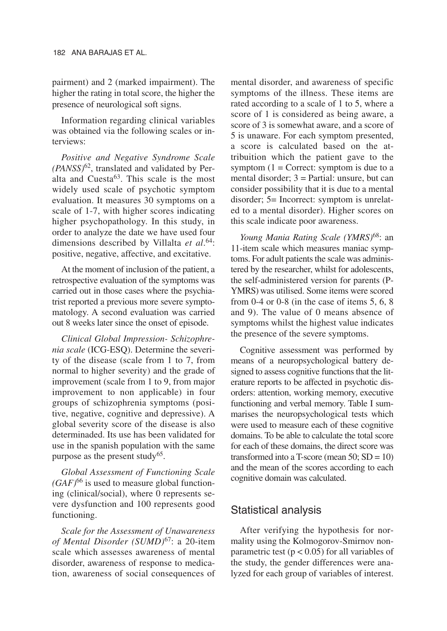pairment) and 2 (marked impairment). The higher the rating in total score, the higher the presence of neurological soft signs.

Information regarding clinical variables was obtained via the following scales or interviews:

*Positive and Negative Syndrome Scale (PANSS)*62, translated and validated by Peralta and Cuesta $63$ . This scale is the most widely used scale of psychotic symptom evaluation. It measures 30 symptoms on a scale of 1-7, with higher scores indicating higher psychopathology. In this study, in order to analyze the date we have used four dimensions described by Villalta *et al*. 64: positive, negative, affective, and excitative.

At the moment of inclusion of the patient, a retrospective evaluation of the symptoms was carried out in those cases where the psychiatrist reported a previous more severe symptomatology. A second evaluation was carried out 8 weeks later since the onset of episode.

*Clinical Global Impression- Schizophrenia scale* (ICG-ESQ). Determine the severity of the disease (scale from 1 to 7, from normal to higher severity) and the grade of improvement (scale from 1 to 9, from major improvement to non applicable) in four groups of schizophrenia symptoms (positive, negative, cognitive and depressive). A global severity score of the disease is also determinaded. Its use has been validated for use in the spanish population with the same purpose as the present study<sup>65</sup>.

*Global Assessment of Functioning Scale*  $(GAF)^{66}$  is used to measure global functioning (clinical/social), where 0 represents severe dysfunction and 100 represents good functioning.

*Scale for the Assessment of Unawareness of Mental Disorder (SUMD)*67: a 20-item scale which assesses awareness of mental disorder, awareness of response to medication, awareness of social consequences of mental disorder, and awareness of specific symptoms of the illness. These items are rated according to a scale of 1 to 5, where a score of 1 is considered as being aware, a score of 3 is somewhat aware, and a score of 5 is unaware. For each symptom presented, a score is calculated based on the attribuition which the patient gave to the symptom  $(1 = \text{Correct:}$  symptom is due to a mental disorder; 3 = Partial: unsure, but can consider possibility that it is due to a mental disorder; 5= Incorrect: symptom is unrelated to a mental disorder). Higher scores on this scale indicate poor awareness.

*Young Mania Rating Scale (YMRS)*68: an 11-item scale which measures maniac symptoms. For adult patients the scale was administered by the researcher, whilst for adolescents, the self-administered version for parents (P-YMRS) was utilised. Some items were scored from 0-4 or 0-8 (in the case of items 5, 6, 8 and 9). The value of 0 means absence of symptoms whilst the highest value indicates the presence of the severe symptoms.

Cognitive assessment was performed by means of a neuropsychological battery designed to assess cognitive functions that the literature reports to be affected in psychotic disorders: attention, working memory, executive functioning and verbal memory. Table I summarises the neuropsychological tests which were used to measure each of these cognitive domains. To be able to calculate the total score for each of these domains, the direct score was transformed into a T-score (mean  $50$ ;  $SD = 10$ ) and the mean of the scores according to each cognitive domain was calculated.

# Statistical analysis

After verifying the hypothesis for normality using the Kolmogorov-Smirnov nonparametric test ( $p < 0.05$ ) for all variables of the study, the gender differences were analyzed for each group of variables of interest.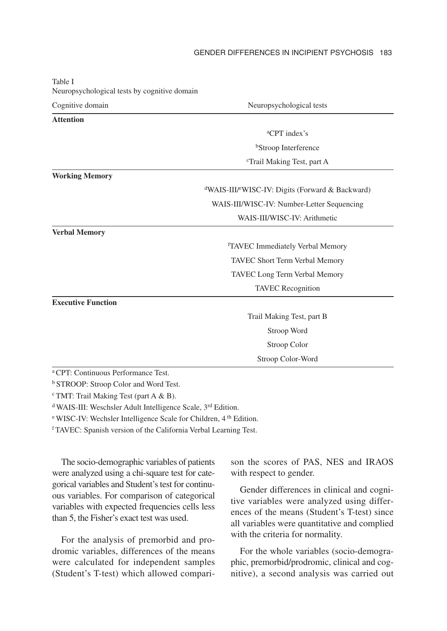#### GENDER DIFFERENCES IN INCIPIENT PSYCHOSIS 183

| Neuropsychological tests by cognitive domain   |                                                                          |  |  |
|------------------------------------------------|--------------------------------------------------------------------------|--|--|
| Cognitive domain                               | Neuropsychological tests                                                 |  |  |
| <b>Attention</b>                               |                                                                          |  |  |
|                                                | <sup>a</sup> CPT index's                                                 |  |  |
|                                                | <sup>b</sup> Stroop Interference                                         |  |  |
|                                                | <sup>c</sup> Trail Making Test, part A                                   |  |  |
| <b>Working Memory</b>                          |                                                                          |  |  |
|                                                | <sup>d</sup> WAIS-III/ <sup>e</sup> WISC-IV: Digits (Forward & Backward) |  |  |
|                                                | WAIS-III/WISC-IV: Number-Letter Sequencing                               |  |  |
|                                                | WAIS-III/WISC-IV: Arithmetic                                             |  |  |
| <b>Verbal Memory</b>                           |                                                                          |  |  |
|                                                | <sup>f</sup> TAVEC Immediately Verbal Memory                             |  |  |
|                                                | TAVEC Short Term Verbal Memory                                           |  |  |
|                                                | TAVEC Long Term Verbal Memory                                            |  |  |
|                                                | <b>TAVEC</b> Recognition                                                 |  |  |
| <b>Executive Function</b>                      |                                                                          |  |  |
|                                                | Trail Making Test, part B                                                |  |  |
|                                                | Stroop Word                                                              |  |  |
|                                                | Stroop Color                                                             |  |  |
|                                                | Stroop Color-Word                                                        |  |  |
| <sup>a</sup> CPT: Continuous Performance Test. |                                                                          |  |  |

Table I Neuropsychological tests by cognitive domain

b STROOP: Stroop Color and Word Test.

c TMT: Trail Making Test (part A & B).

d WAIS-III: Weschsler Adult Intelligence Scale, 3rd Edition.

e WISC-IV: Wechsler Intelligence Scale for Children, 4 th Edition.

f TAVEC: Spanish version of the California Verbal Learning Test.

The socio-demographic variables of patients were analyzed using a chi-square test for categorical variables and Student's test for continuous variables. For comparison of categorical variables with expected frequencies cells less than 5, the Fisher's exact test was used.

For the analysis of premorbid and prodromic variables, differences of the means were calculated for independent samples (Student's T-test) which allowed comparison the scores of PAS, NES and IRAOS with respect to gender.

Gender differences in clinical and cognitive variables were analyzed using differences of the means (Student's T-test) since all variables were quantitative and complied with the criteria for normality.

For the whole variables (socio-demographic, premorbid/prodromic, clinical and cognitive), a second analysis was carried out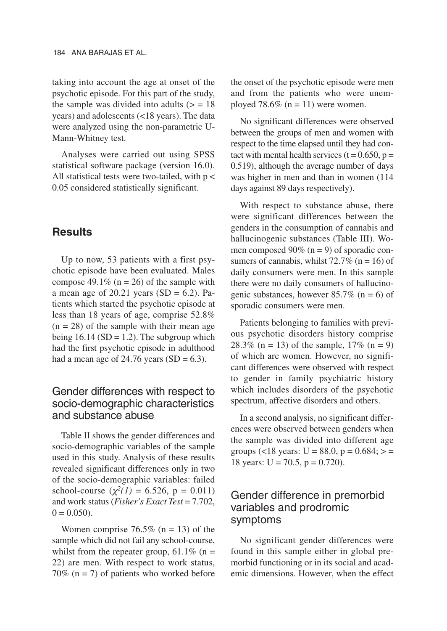taking into account the age at onset of the psychotic episode. For this part of the study, the sample was divided into adults  $(>= 18$ years) and adolescents (<18 years). The data were analyzed using the non-parametric U-Mann-Whitney test.

Analyses were carried out using SPSS statistical software package (version 16.0). All statistical tests were two-tailed, with  $p <$ 0.05 considered statistically significant.

#### **Results**

Up to now, 53 patients with a first psychotic episode have been evaluated. Males compose 49.1% ( $n = 26$ ) of the sample with a mean age of  $20.21$  years (SD = 6.2). Patients which started the psychotic episode at less than 18 years of age, comprise 52.8%  $(n = 28)$  of the sample with their mean age being  $16.14$  (SD = 1.2). The subgroup which had the first psychotic episode in adulthood had a mean age of  $24.76$  years (SD = 6.3).

## Gender differences with respect to socio-demographic characteristics and substance abuse

Table II shows the gender differences and socio-demographic variables of the sample used in this study. Analysis of these results revealed significant differences only in two of the socio-demographic variables: failed school-course  $(\chi^2(1) = 6.526, p = 0.011)$ and work status (*Fisher's Exact Test* = 7.702,  $0 = 0.050$ .

Women comprise  $76.5\%$  (n = 13) of the sample which did not fail any school-course, whilst from the repeater group,  $61.1\%$  (n = 22) are men. With respect to work status, 70% ( $n = 7$ ) of patients who worked before the onset of the psychotic episode were men and from the patients who were unemployed 78.6% ( $n = 11$ ) were women.

No significant differences were observed between the groups of men and women with respect to the time elapsed until they had contact with mental health services ( $t = 0.650$ ,  $p =$ 0.519), although the average number of days was higher in men and than in women (114 days against 89 days respectively).

With respect to substance abuse, there were significant differences between the genders in the consumption of cannabis and hallucinogenic substances (Table III). Women composed  $90\%$  (n = 9) of sporadic consumers of cannabis, whilst  $72.7\%$  (n = 16) of daily consumers were men. In this sample there were no daily consumers of hallucinogenic substances, however  $85.7\%$  (n = 6) of sporadic consumers were men.

Patients belonging to families with previous psychotic disorders history comprise 28.3% (n = 13) of the sample,  $17\%$  (n = 9) of which are women. However, no significant differences were observed with respect to gender in family psychiatric history which includes disorders of the psychotic spectrum, affective disorders and others.

In a second analysis, no significant differences were observed between genders when the sample was divided into different age groups (<18 years:  $U = 88.0$ ,  $p = 0.684$ ; > = 18 years:  $U = 70.5$ ,  $p = 0.720$ ).

### Gender difference in premorbid variables and prodromic symptoms

No significant gender differences were found in this sample either in global premorbid functioning or in its social and academic dimensions. However, when the effect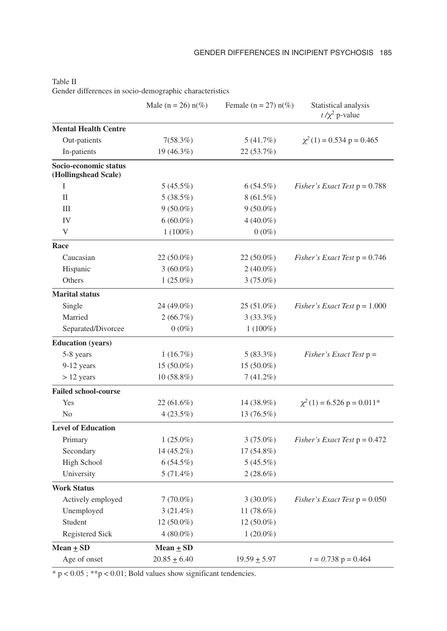|                                               | Male ( $n = 26$ ) $n(\%)$ | Female ( $n = 27$ ) $n(\%)$ | Statistical analysis<br>$t/\chi^2$ p-value |
|-----------------------------------------------|---------------------------|-----------------------------|--------------------------------------------|
| <b>Mental Health Centre</b>                   |                           |                             |                                            |
| Out-patients                                  | 7(58.3%)                  | 5 (41.7%)                   | $\chi^2(1) = 0.534$ p = 0.465              |
| In-patients                                   | 19 (46.3%)                | 22(53.7%)                   |                                            |
| Socio-economic status<br>(Hollingshead Scale) |                           |                             |                                            |
| I                                             | 5(45.5%)                  | 6(54.5%)                    | <i>Fisher's Exact Test</i> $p = 0.788$     |
| $_{\rm II}$                                   | $5(38.5\%)$               | $8(61.5\%)$                 |                                            |
| Ш                                             | $9(50.0\%)$               | $9(50.0\%)$                 |                                            |
| IV                                            | $6(60.0\%)$               | $4(40.0\%)$                 |                                            |
| V                                             | $1(100\%)$                | $0(0\%)$                    |                                            |
| Race                                          |                           |                             |                                            |
| Caucasian                                     | $22(50.0\%)$              | $22(50.0\%)$                | <i>Fisher's Exact Test</i> $p = 0.746$     |
| Hispanic                                      | $3(60.0\%)$               | $2(40.0\%)$                 |                                            |
| Others                                        | $1(25.0\%)$               | $3(75.0\%)$                 |                                            |
| <b>Marital status</b>                         |                           |                             |                                            |
| Single                                        | 24 (49.0%)                | $25(51.0\%)$                | <i>Fisher's Exact Test</i> $p = 1.000$     |
| Married                                       | 2(66.7%)                  | 3(33.3%)                    |                                            |
| Separated/Divorcee                            | $0(0\%)$                  | $1(100\%)$                  |                                            |
| <b>Education</b> (years)                      |                           |                             |                                            |
| 5-8 years                                     | 1(16.7%)                  | $5(83.3\%)$                 | Fisher's Exact Test $p =$                  |
| $9-12$ years                                  | 15 (50.0%)                | $15(50.0\%)$                |                                            |
| $> 12$ years                                  | $10(58.8\%)$              | $7(41.2\%)$                 |                                            |
| <b>Failed school-course</b>                   |                           |                             |                                            |
| Yes                                           | 22 (61.6%)                | 14 (38.9%)                  | $\chi^2(1) = 6.526$ p = 0.011*             |
| N <sub>0</sub>                                | $4(23.5\%)$               | 13 (76.5%)                  |                                            |
| <b>Level of Education</b>                     |                           |                             |                                            |
| Primary                                       | $1(25.0\%)$               | $3(75.0\%)$                 | <i>Fisher's Exact Test</i> $p = 0.472$     |
| Secondary                                     | 14 (45.2%)                | $17(54.8\%)$                |                                            |
| <b>High School</b>                            | $6(54.5\%)$               | $5(45.5\%)$                 |                                            |
| University                                    | $5(71.4\%)$               | $2(28.6\%)$                 |                                            |
| <b>Work Status</b>                            |                           |                             |                                            |
| Actively employed                             | $7(70.0\%)$               | $3(30.0\%)$                 | <i>Fisher's Exact Test</i> $p = 0.050$     |
| Unemployed                                    | $3(21.4\%)$               | $11(78.6\%)$                |                                            |
| Student                                       | $12(50.0\%)$              | $12(50.0\%)$                |                                            |
| Registered Sick                               | $4(80.0\%)$               | $1(20.0\%)$                 |                                            |
| Mean $\pm$ SD                                 | Mean $\pm$ SD             |                             |                                            |
| Age of onset                                  | $20.85 \pm 6.40$          | $19.59 \pm 5.97$            | $t = 0.738$ p = 0.464                      |

Table II

Gender differences in socio-demographic characteristics

\* p < 0.05 ; \*\*p < 0.01; Bold values show significant tendencies.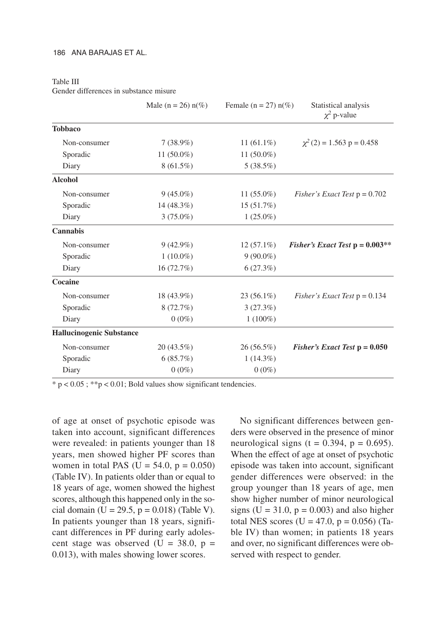#### Table III

Gender differences in substance misure

|                                 | Male ( $n = 26$ ) $n(\%)$ | Female ( $n = 27$ ) $n(\%)$ | Statistical analysis<br>$\chi^2$ p-value  |
|---------------------------------|---------------------------|-----------------------------|-------------------------------------------|
| <b>Tobbaco</b>                  |                           |                             |                                           |
| Non-consumer                    | $7(38.9\%)$               | 11 $(61.1\%)$               | $\chi^2$ (2) = 1.563 p = 0.458            |
| Sporadic                        | 11 $(50.0\%)$             | 11 $(50.0\%)$               |                                           |
| Diary                           | $8(61.5\%)$               | $5(38.5\%)$                 |                                           |
| <b>Alcohol</b>                  |                           |                             |                                           |
| Non-consumer                    | $9(45.0\%)$               | 11 $(55.0\%)$               | <i>Fisher's Exact Test</i> $p = 0.702$    |
| Sporadic                        | 14 (48.3%)                | 15(51.7%)                   |                                           |
| Diary                           | $3(75.0\%)$               | $1(25.0\%)$                 |                                           |
| <b>Cannabis</b>                 |                           |                             |                                           |
| Non-consumer                    | $9(42.9\%)$               | $12(57.1\%)$                | <i>Fisher's Exact Test</i> $p = 0.003$ ** |
| Sporadic                        | $1(10.0\%)$               | $9(90.0\%)$                 |                                           |
| Diary                           | 16(72.7%)                 | 6(27.3%)                    |                                           |
| Cocaine                         |                           |                             |                                           |
| Non-consumer                    | 18 (43.9%)                | $23(56.1\%)$                | <i>Fisher's Exact Test</i> $p = 0.134$    |
| Sporadic                        | 8(72.7%)                  | 3(27.3%)                    |                                           |
| Diary                           | $0(0\%)$                  | $1(100\%)$                  |                                           |
| <b>Hallucinogenic Substance</b> |                           |                             |                                           |
| Non-consumer                    | $20(43.5\%)$              | $26(56.5\%)$                | Fisher's Exact Test $p = 0.050$           |
| Sporadic                        | 6(85.7%)                  | $1(14.3\%)$                 |                                           |
| Diary                           | $0(0\%)$                  | $0(0\%)$                    |                                           |

 $* p < 0.05$ ;  $* p < 0.01$ ; Bold values show significant tendencies.

of age at onset of psychotic episode was taken into account, significant differences were revealed: in patients younger than 18 years, men showed higher PF scores than women in total PAS ( $U = 54.0$ ,  $p = 0.050$ ) (Table IV). In patients older than or equal to 18 years of age, women showed the highest scores, although this happened only in the social domain (U = 29.5,  $p = 0.018$ ) (Table V). In patients younger than 18 years, significant differences in PF during early adolescent stage was observed (U =  $38.0$ , p = 0.013), with males showing lower scores.

No significant differences between genders were observed in the presence of minor neurological signs (t =  $0.394$ , p =  $0.695$ ). When the effect of age at onset of psychotic episode was taken into account, significant gender differences were observed: in the group younger than 18 years of age, men show higher number of minor neurological signs ( $U = 31.0$ ,  $p = 0.003$ ) and also higher total NES scores ( $U = 47.0$ ,  $p = 0.056$ ) (Table IV) than women; in patients 18 years and over, no significant differences were observed with respect to gender.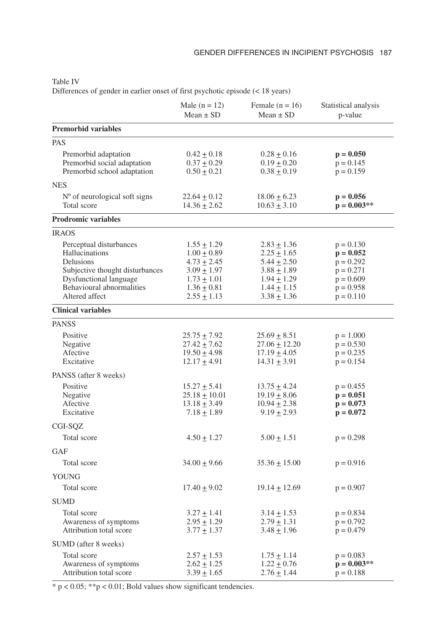| ٧<br>×<br>×<br>. . |  |
|--------------------|--|
|--------------------|--|

Differences of gender in earlier onset of first psychotic episode (< 18 years)

|                                                                                                                                                                    | Male $(n = 12)$<br>Mean $\pm$ SD                                                                                                  | Female $(n = 16)$<br>Mean $\pm$ SD                                                                                              | Statistical analysis<br>p-value                                                                       |
|--------------------------------------------------------------------------------------------------------------------------------------------------------------------|-----------------------------------------------------------------------------------------------------------------------------------|---------------------------------------------------------------------------------------------------------------------------------|-------------------------------------------------------------------------------------------------------|
| <b>Premorbid variables</b>                                                                                                                                         |                                                                                                                                   |                                                                                                                                 |                                                                                                       |
| <b>PAS</b>                                                                                                                                                         |                                                                                                                                   |                                                                                                                                 |                                                                                                       |
| Premorbid adaptation<br>Premorbid social adaptation<br>Premorbid school adaptation                                                                                 | $0.42 \pm 0.18$<br>$0.37 \pm 0.29$<br>$0.50 \pm 0.21$                                                                             | $0.28 \pm 0.16$<br>$0.19 \pm 0.20$<br>$0.38 + 0.19$                                                                             | $p = 0.050$<br>$p = 0.145$<br>$p = 0.159$                                                             |
| <b>NES</b>                                                                                                                                                         |                                                                                                                                   |                                                                                                                                 |                                                                                                       |
| N° of neurological soft signs<br>Total score                                                                                                                       | $22.64 \pm 0.12$<br>$14.36 \pm 2.62$                                                                                              | $18.06 \pm 6.23$<br>$10.63 \pm 3.10$                                                                                            | $p = 0.056$<br>$p = 0.003**$                                                                          |
| <b>Prodromic variables</b>                                                                                                                                         |                                                                                                                                   |                                                                                                                                 |                                                                                                       |
| <b>IRAOS</b>                                                                                                                                                       |                                                                                                                                   |                                                                                                                                 |                                                                                                       |
| Perceptual disturbances<br>Hallucinations<br>Delusions<br>Subjective thought disturbances<br>Dysfunctional language<br>Behavioural abnormalities<br>Altered affect | $1.55 \pm 1.29$<br>$1.00 \pm 0.89$<br>$4.73 \pm 2.45$<br>$3.09 \pm 1.97$<br>$1.73 \pm 1.01$<br>$1.36 \pm 0.81$<br>$2.55 \pm 1.13$ | $2.83 \pm 1.36$<br>$2.25 \pm 1.65$<br>$5.44 \pm 2.50$<br>$3.88 + 1.89$<br>$1.94 \pm 1.29$<br>$1.44 \pm 1.15$<br>$3.38 \pm 1.36$ | $p = 0.130$<br>$p = 0.052$<br>$p = 0.292$<br>$p = 0.271$<br>$p = 0.609$<br>$p = 0.958$<br>$p = 0.110$ |
| <b>Clinical variables</b>                                                                                                                                          |                                                                                                                                   |                                                                                                                                 |                                                                                                       |
| <b>PANSS</b>                                                                                                                                                       |                                                                                                                                   |                                                                                                                                 |                                                                                                       |
| Positive<br>Negative<br>Afective<br>Excitative                                                                                                                     | $25.75 \pm 7.92$<br>$27.42 + 7.62$<br>$19.50 \pm 4.98$<br>$12.17 + 4.91$                                                          | $25.69 \pm 8.51$<br>$27.06 + 12.20$<br>$17.19 \pm 4.05$<br>$14.31 + 3.91$                                                       | $p = 1.000$<br>$p = 0.530$<br>$p = 0.235$<br>$p = 0.154$                                              |
| PANSS (after 8 weeks)                                                                                                                                              |                                                                                                                                   |                                                                                                                                 |                                                                                                       |
| Positive<br>Negative<br>Afective<br>Excitative                                                                                                                     | $15.27 \pm 5.41$<br>$25.18 \pm 10.01$<br>$13.18 \pm 3.49$<br>$7.18 \pm 1.89$                                                      | $13.75 \pm 4.24$<br>$19.19 \pm 8.06$<br>$10.94 + 2.38$<br>$9.19 \pm 2.93$                                                       | $p = 0.455$<br>$p = 0.051$<br>$p = 0.073$<br>$p = 0.072$                                              |
| CGI-SQZ                                                                                                                                                            |                                                                                                                                   |                                                                                                                                 |                                                                                                       |
| Total score                                                                                                                                                        | $4.50 \pm 1.27$                                                                                                                   | $5.00 \pm 1.51$                                                                                                                 | $p = 0.298$                                                                                           |
| <b>GAF</b>                                                                                                                                                         |                                                                                                                                   |                                                                                                                                 |                                                                                                       |
| Total score                                                                                                                                                        | $34.00 \pm 9.66$                                                                                                                  | $35.36 \pm 15.00$                                                                                                               | $p = 0.916$                                                                                           |
| YOUNG                                                                                                                                                              |                                                                                                                                   |                                                                                                                                 |                                                                                                       |
| Total score                                                                                                                                                        | $17.40 \pm 9.02$                                                                                                                  | $19.14 \pm 12.69$                                                                                                               | $p = 0.907$                                                                                           |
| <b>SUMD</b>                                                                                                                                                        |                                                                                                                                   |                                                                                                                                 |                                                                                                       |
| Total score<br>Awareness of symptoms<br>Attribution total score                                                                                                    | $3.27 \pm 1.41$<br>$2.95 \pm 1.29$<br>$3.77 \pm 1.37$                                                                             | $3.14 \pm 1.53$<br>$2.79 \pm 1.31$<br>$3.48 \pm 1.96$                                                                           | $p = 0.834$<br>$p = 0.792$<br>$p = 0.479$                                                             |
| SUMD (after 8 weeks)                                                                                                                                               |                                                                                                                                   |                                                                                                                                 |                                                                                                       |
| Total score<br>Awareness of symptoms<br>Attribution total score                                                                                                    | $2.57 \pm 1.53$<br>$2.62 \pm 1.25$<br>$3.39 \pm 1.65$                                                                             | $1.75 \pm 1.14$<br>$1.22 \pm 0.76$<br>$2.76 \pm 1.44$                                                                           | $p = 0.083$<br>$p = 0.003**$<br>$p = 0.188$                                                           |

 $\frac{1}{2}$   $\frac{1}{2}$  p < 0.05; \*\*p < 0.01; Bold values show significant tendencies.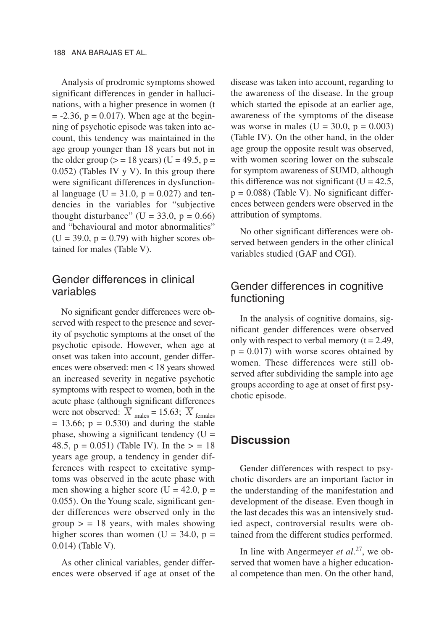Analysis of prodromic symptoms showed significant differences in gender in hallucinations, with a higher presence in women (t  $= -2.36$ ,  $p = 0.017$ ). When age at the beginning of psychotic episode was taken into account, this tendency was maintained in the age group younger than 18 years but not in the older group  $(>= 18$  years) (U = 49.5, p = 0.052) (Tables IV y V). In this group there were significant differences in dysfunctional language (U = 31.0,  $p = 0.027$ ) and tendencies in the variables for "subjective thought disturbance" ( $U = 33.0$ ,  $p = 0.66$ ) and "behavioural and motor abnormalities"  $(U = 39.0, p = 0.79)$  with higher scores obtained for males (Table V).

### Gender differences in clinical variables

No significant gender differences were observed with respect to the presence and severity of psychotic symptoms at the onset of the psychotic episode. However, when age at onset was taken into account, gender differences were observed: men < 18 years showed an increased severity in negative psychotic symptoms with respect to women, both in the acute phase (although significant differences were not observed:  $\overline{X}_{\text{males}} = 15.63$ ;  $\overline{X}_{\text{females}}$  $= 13.66$ ;  $p = 0.530$  and during the stable phase, showing a significant tendency  $(U =$ 48.5,  $p = 0.051$ ) (Table IV). In the  $> = 18$ years age group, a tendency in gender differences with respect to excitative symptoms was observed in the acute phase with men showing a higher score (U = 42.0,  $p =$ 0.055). On the Young scale, significant gender differences were observed only in the group  $>$  = 18 years, with males showing higher scores than women (U =  $34.0$ , p = 0.014) (Table V).

As other clinical variables, gender differences were observed if age at onset of the disease was taken into account, regarding to the awareness of the disease. In the group which started the episode at an earlier age, awareness of the symptoms of the disease was worse in males (U =  $30.0$ , p =  $0.003$ ) (Table IV). On the other hand, in the older age group the opposite result was observed, with women scoring lower on the subscale for symptom awareness of SUMD, although this difference was not significant  $(U = 42.5$ ,  $p = 0.088$ ) (Table V). No significant differences between genders were observed in the attribution of symptoms.

No other significant differences were observed between genders in the other clinical variables studied (GAF and CGI).

# Gender differences in cognitive functioning

In the analysis of cognitive domains, significant gender differences were observed only with respect to verbal memory  $(t = 2.49)$ ,  $p = 0.017$ ) with worse scores obtained by women. These differences were still observed after subdividing the sample into age groups according to age at onset of first psychotic episode.

### **Discussion**

Gender differences with respect to psychotic disorders are an important factor in the understanding of the manifestation and development of the disease. Even though in the last decades this was an intensively studied aspect, controversial results were obtained from the different studies performed.

In line with Angermeyer *et al*. 27, we observed that women have a higher educational competence than men. On the other hand,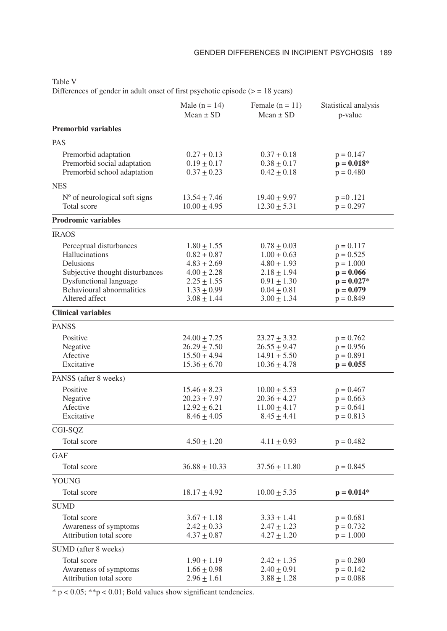|--|--|

Differences of gender in adult onset of first psychotic episode  $(>= 18 \text{ years})$ 

|                                                                                                                                                                    | Male $(n = 14)$<br>$Mean \pm SD$                                                                                                  | Female $(n = 11)$<br>Mean $\pm$ SD                                                                                              | Statistical analysis<br>p-value                                                                        |
|--------------------------------------------------------------------------------------------------------------------------------------------------------------------|-----------------------------------------------------------------------------------------------------------------------------------|---------------------------------------------------------------------------------------------------------------------------------|--------------------------------------------------------------------------------------------------------|
| <b>Premorbid variables</b>                                                                                                                                         |                                                                                                                                   |                                                                                                                                 |                                                                                                        |
| <b>PAS</b>                                                                                                                                                         |                                                                                                                                   |                                                                                                                                 |                                                                                                        |
| Premorbid adaptation<br>Premorbid social adaptation<br>Premorbid school adaptation                                                                                 | $0.27 \pm 0.13$<br>$0.19 \pm 0.17$<br>$0.37 \pm 0.23$                                                                             | $0.37 + 0.18$<br>$0.38 \pm 0.17$<br>$0.42 \pm 0.18$                                                                             | $p = 0.147$<br>$p = 0.018*$<br>$p = 0.480$                                                             |
| <b>NES</b>                                                                                                                                                         |                                                                                                                                   |                                                                                                                                 |                                                                                                        |
| $No$ of neurological soft signs<br>Total score                                                                                                                     | $13.54 \pm 7.46$<br>$10.00 + 4.95$                                                                                                | $19.40 \pm 9.97$<br>$12.30 + 5.31$                                                                                              | $p = 0.121$<br>$p = 0.297$                                                                             |
| <b>Prodromic variables</b>                                                                                                                                         |                                                                                                                                   |                                                                                                                                 |                                                                                                        |
| <b>IRAOS</b>                                                                                                                                                       |                                                                                                                                   |                                                                                                                                 |                                                                                                        |
| Perceptual disturbances<br>Hallucinations<br>Delusions<br>Subjective thought disturbances<br>Dysfunctional language<br>Behavioural abnormalities<br>Altered affect | $1.80 \pm 1.55$<br>$0.82 \pm 0.87$<br>$4.83 \pm 2.69$<br>$4.00 \pm 2.28$<br>$2.25 \pm 1.55$<br>$1.33 \pm 0.99$<br>$3.08 \pm 1.44$ | $0.78 \pm 0.03$<br>$1.00 \pm 0.63$<br>$4.80 \pm 1.93$<br>$2.18 \pm 1.94$<br>$0.91 + 1.30$<br>$0.04 \pm 0.81$<br>$3.00 \pm 1.34$ | $p = 0.117$<br>$p = 0.525$<br>$p = 1.000$<br>$p = 0.066$<br>$p = 0.027*$<br>$p = 0.079$<br>$p = 0.849$ |
| <b>Clinical variables</b>                                                                                                                                          |                                                                                                                                   |                                                                                                                                 |                                                                                                        |
| <b>PANSS</b>                                                                                                                                                       |                                                                                                                                   |                                                                                                                                 |                                                                                                        |
| Positive<br>Negative<br>Afective<br>Excitative                                                                                                                     | $24.00 \pm 7.25$<br>$26.29 \pm 7.50$<br>$15.50 \pm 4.94$<br>$15.36 \pm 6.70$                                                      | $23.27 \pm 3.32$<br>$26.55 \pm 9.47$<br>$14.91 + 5.50$<br>$10.36 \pm 4.78$                                                      | $p = 0.762$<br>$p = 0.956$<br>$p = 0.891$<br>$p = 0.055$                                               |
| PANSS (after 8 weeks)                                                                                                                                              |                                                                                                                                   |                                                                                                                                 |                                                                                                        |
| Positive<br>Negative<br>Afective<br>Excitative                                                                                                                     | $15.46 \pm 8.23$<br>$20.23 \pm 7.97$<br>$12.92 \pm 6.21$<br>$8.46 \pm 4.05$                                                       | $10.00 \pm 5.53$<br>$20.36 \pm 4.27$<br>$11.00 \pm 4.17$<br>$8.45 \pm 4.41$                                                     | $p = 0.467$<br>$p = 0.663$<br>$p = 0.641$<br>$p = 0.813$                                               |
| CGI-SQZ                                                                                                                                                            |                                                                                                                                   |                                                                                                                                 |                                                                                                        |
| Total score                                                                                                                                                        | $4.50 \pm 1.20$                                                                                                                   | $4.11 \pm 0.93$                                                                                                                 | $p = 0.482$                                                                                            |
| <b>GAF</b><br>Total score                                                                                                                                          | $36.88 \pm 10.33$                                                                                                                 | $37.56 \pm 11.80$                                                                                                               | $p = 0.845$                                                                                            |
| <b>YOUNG</b>                                                                                                                                                       |                                                                                                                                   |                                                                                                                                 |                                                                                                        |
| Total score                                                                                                                                                        | $18.17 \pm 4.92$                                                                                                                  | $10.00 \pm 5.35$                                                                                                                | $p = 0.014*$                                                                                           |
| <b>SUMD</b>                                                                                                                                                        |                                                                                                                                   |                                                                                                                                 |                                                                                                        |
| Total score<br>Awareness of symptoms<br>Attribution total score                                                                                                    | $3.67 \pm 1.18$<br>$2.42 \pm 0.33$<br>$4.37 \pm 0.87$                                                                             | $3.33 \pm 1.41$<br>$2.47 \pm 1.23$<br>$4.27 \pm 1.20$                                                                           | $p = 0.681$<br>$p = 0.732$<br>$p = 1.000$                                                              |
| SUMD (after 8 weeks)                                                                                                                                               |                                                                                                                                   |                                                                                                                                 |                                                                                                        |
| Total score<br>Awareness of symptoms<br>Attribution total score                                                                                                    | $1.90 \pm 1.19$<br>$1.66 \pm 0.98$<br>$2.96 \pm 1.61$                                                                             | $2.42 \pm 1.35$<br>$2.40 \pm 0.91$<br>$3.88 \pm 1.28$                                                                           | $p = 0.280$<br>$p = 0.142$<br>$p = 0.088$                                                              |

 $\frac{}{\cdot}$  p < 0.05; \*\*p < 0.01; Bold values show significant tendencies.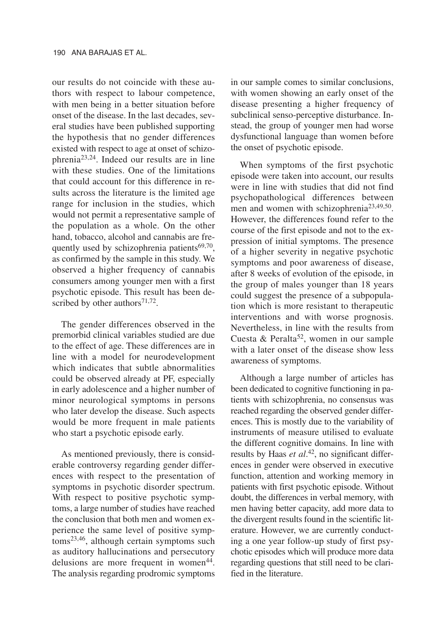our results do not coincide with these authors with respect to labour competence, with men being in a better situation before onset of the disease. In the last decades, several studies have been published supporting the hypothesis that no gender differences existed with respect to age at onset of schizophrenia23,24. Indeed our results are in line with these studies. One of the limitations that could account for this difference in results across the literature is the limited age range for inclusion in the studies, which would not permit a representative sample of the population as a whole. On the other hand, tobacco, alcohol and cannabis are frequently used by schizophrenia patients $69,70$ , as confirmed by the sample in this study. We observed a higher frequency of cannabis consumers among younger men with a first psychotic episode. This result has been described by other authors $71,72$ .

The gender differences observed in the premorbid clinical variables studied are due to the effect of age. These differences are in line with a model for neurodevelopment which indicates that subtle abnormalities could be observed already at PF, especially in early adolescence and a higher number of minor neurological symptoms in persons who later develop the disease. Such aspects would be more frequent in male patients who start a psychotic episode early.

As mentioned previously, there is considerable controversy regarding gender differences with respect to the presentation of symptoms in psychotic disorder spectrum. With respect to positive psychotic symptoms, a large number of studies have reached the conclusion that both men and women experience the same level of positive symptoms23,46, although certain symptoms such as auditory hallucinations and persecutory delusions are more frequent in women<sup>44</sup>. The analysis regarding prodromic symptoms in our sample comes to similar conclusions, with women showing an early onset of the disease presenting a higher frequency of subclinical senso-perceptive disturbance. Instead, the group of younger men had worse dysfunctional language than women before the onset of psychotic episode.

When symptoms of the first psychotic episode were taken into account, our results were in line with studies that did not find psychopathological differences between men and women with schizophrenia<sup>23,49,50</sup>. However, the differences found refer to the course of the first episode and not to the expression of initial symptoms. The presence of a higher severity in negative psychotic symptoms and poor awareness of disease, after 8 weeks of evolution of the episode, in the group of males younger than 18 years could suggest the presence of a subpopulation which is more resistant to therapeutic interventions and with worse prognosis. Nevertheless, in line with the results from Cuesta & Peralta<sup>52</sup>, women in our sample with a later onset of the disease show less awareness of symptoms.

Although a large number of articles has been dedicated to cognitive functioning in patients with schizophrenia, no consensus was reached regarding the observed gender differences. This is mostly due to the variability of instruments of measure utilised to evaluate the different cognitive domains. In line with results by Haas *et al*. 42, no significant differences in gender were observed in executive function, attention and working memory in patients with first psychotic episode. Without doubt, the differences in verbal memory, with men having better capacity, add more data to the divergent results found in the scientific literature. However, we are currently conducting a one year follow-up study of first psychotic episodes which will produce more data regarding questions that still need to be clarified in the literature.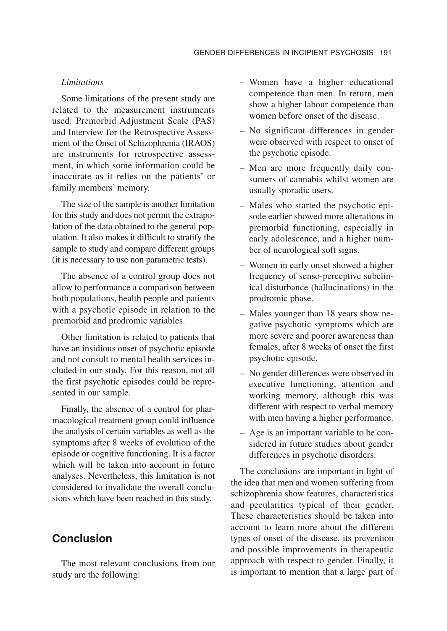#### *Limitations*

Some limitations of the present study are related to the measurement instruments used: Premorbid Adjustment Scale (PAS) and Interview for the Retrospective Assessment of the Onset of Schizophrenia (IRAOS) are instruments for retrospective assessment, in which some information could be inaccurate as it relies on the patients' or family members' memory.

The size of the sample is another limitation for this study and does not permit the extrapolation of the data obtained to the general population. It also makes it difficult to stratify the sample to study and compare different groups (it is necessary to use non parametric tests).

The absence of a control group does not allow to performance a comparison between both populations, health people and patients with a psychotic episode in relation to the premorbid and prodromic variables.

Other limitation is related to patients that have an insidious onset of psychotic episode and not consult to mental health services included in our study. For this reason, not all the first psychotic episodes could be represented in our sample.

Finally, the absence of a control for pharmacological treatment group could influence the analysis of certain variables as well as the symptoms after 8 weeks of evolution of the episode or cognitive functioning. It is a factor which will be taken into account in future analyses. Nevertheless, this limitation is not considered to invalidate the overall conclusions which have been reached in this study.

## **Conclusion**

The most relevant conclusions from our study are the following:

- Women have a higher educational competence than men. In return, men show a higher labour competence than women before onset of the disease.
- No significant differences in gender were observed with respect to onset of the psychotic episode.
- Men are more frequently daily consumers of cannabis whilst women are usually sporadic users.
- Males who started the psychotic episode earlier showed more alterations in premorbid functioning, especially in early adolescence, and a higher number of neurological soft signs.
- Women in early onset showed a higher frequency of senso-perceptive subclinical disturbance (hallucinations) in the prodromic phase.
- Males younger than 18 years show negative psychotic symptoms which are more severe and poorer awareness than females, after 8 weeks of onset the first psychotic episode.
- No gender differences were observed in executive functioning, attention and working memory, although this was different with respect to verbal memory with men having a higher performance.
- Age is an important variable to be considered in future studies about gender differences in psychotic disorders.

The conclusions are important in light of the idea that men and women suffering from schizophrenia show features, characteristics and pecularities typical of their gender. These characteristics should be taken into account to learn more about the different types of onset of the disease, its prevention and possible improvements in therapeutic approach with respect to gender. Finally, it is important to mention that a large part of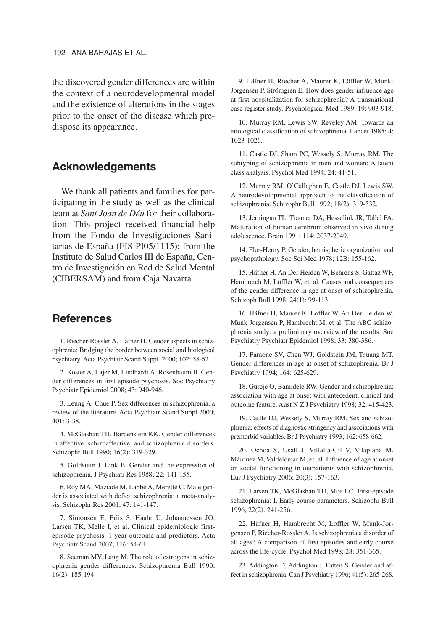the discovered gender differences are within the context of a neurodevelopmental model and the existence of alterations in the stages prior to the onset of the disease which predispose its appearance.

#### **Acknowledgements**

We thank all patients and families for participating in the study as well as the clinical team at *Sant Joan de Déu* for their collaboration. This project received financial help from the Fondo de Investigaciones Sanitarias de España (FIS PI05/1115); from the Instituto de Salud Carlos III de España, Centro de Investigación en Red de Salud Mental (CIBERSAM) and from Caja Navarra.

# **References**

1. Riecher-Rossler A, Häfner H. Gender aspects in schizophrenia: Bridging the border between social and biological psychiatry. Acta Psychiatr Scand Suppl. 2000; 102: 58-62.

2. Koster A, Lajer M, Lindhardt A, Rosenbaum B. Gender differences in first episode psychosis. Soc Psychiatry Psychiatr Epidemiol 2008; 43: 940-946.

3. Leung A, Chue P. Sex differences in schizophrenia, a review of the literature. Acta Psychiatr Scand Suppl 2000; 401: 3-38.

4. McGlashan TH, Bardenstein KK. Gender differences in affective, schizoaffective, and schizophrenic disorders. Schizophr Bull 1990; 16(2): 319-329.

5. Goldstein J, Link B. Gender and the expression of schizophrenia. J Psychiatr Res 1988; 22: 141-155.

6. Roy MA, Maziade M, Labbé A, Mérette C. Male gender is associated with deficit schizophrenia: a meta-analysis. Schizophr Res 2001; 47: 141-147.

7. Simonsen E, Friis S, Haahr U, Johannessen JO, Larsen TK, Melle I, et al. Clinical epidemiologic firstepisode psychosis. 1 year outcome and predictors. Acta Psychiatr Scand 2007; 116: 54-61.

8. Seeman MV, Lang M. The role of estrogens in schizophrenia gender differences. Schizophrenia Bull 1990; 16(2): 185-194.

9. Häfner H, Riecher A, Maurer K, Löffler W, Munk-Jorgensen P, Strömgren E. How does gender influence age at first hospitalization for schizophrenia? A transnational case register study. Psychological Med 1989; 19: 903-918.

10. Murray RM, Lewis SW, Reveley AM. Towards an etiological classification of schizophrenia. Lancet 1985; 4: 1023-1026.

11. Castle DJ, Sham PC, Wessely S, Murray RM. The subtyping of schizophrenia in men and women: A latent class analysis. Psychol Med 1994; 24: 41-51.

12. Murray RM, O'Callaghan E, Castle DJ, Lewis SW. A neurodevolopmental approach to the classification of schizophrenia. Schizophr Bull 1992; 18(2): 319-332.

13. Jerningan TL, Trauner DA, Hesselink JR, Tallal PA. Maturation of human cerebrum observed in vivo during adolescence. Brain 1991; 114: 2037-2049.

14. Flor-Henry P. Gender, hemispheric organization and psychopathology. Soc Sci Med 1978; 12B: 155-162.

15. Häfner H, An Der Heiden W, Behrens S, Gattaz WF, Hambretch M, Löffler W, et. al. Causes and consequences of the gender difference in age at onset of schizophrenia. Schizoph Bull 1998; 24(1): 99-113.

16. Häfner H, Maurer K, Loffler W, An Der Heiden W, Munk-Jorgensen P, Hambrecht M, et al. The ABC schizophrenia study: a preliminary overview of the results. Soc Psychiatry Psychiatr Epidemiol 1998; 33: 380-386.

17. Faraone SV, Chen WJ, Goldstein JM, Tsuang MT. Gender differences in age at onset of schizophrenia. Br J Psychiatry 1994; 164: 625-629.

18. Gureje O, Bamidele RW. Gender and schizophrenia: association with age at onset with antecedent, clinical and outcome feature. Aust N Z J Psychiatry 1998; 32: 415-423.

19. Castle DJ, Wessely S, Murray RM. Sex and schizophrenia: effects of diagnostic stringency and associations with premorbid variables. Br J Psychiatry 1993; 162: 658-662.

20. Ochoa S, Usall J, Villalta-Gil V, Vilaplana M, Márquez M, Valdelomar M, et. al. Influence of age at onset on social functioning in outpatients with schizophrenia. Eur J Psychiatry 2006; 20(3): 157-163.

21. Larsen TK, McGlashan TH, Moe LC. First-episode schizophrenia: I. Early course parameters. Schizophr Bull 1996; 22(2): 241-256.

22. Häfner H, Hambrecht M, Loffler W, Munk-Jorgensen P, Riecher-Rossler A. Is schizophrenia a disorder of all ages? A comparison of first episodes and early course across the life-cycle. Psychol Med 1998; 28: 351-365.

23. Addington D, Addington J, Patten S. Gender and affect in schizophrenia. Can J Psychiatry 1996; 41(5): 265-268.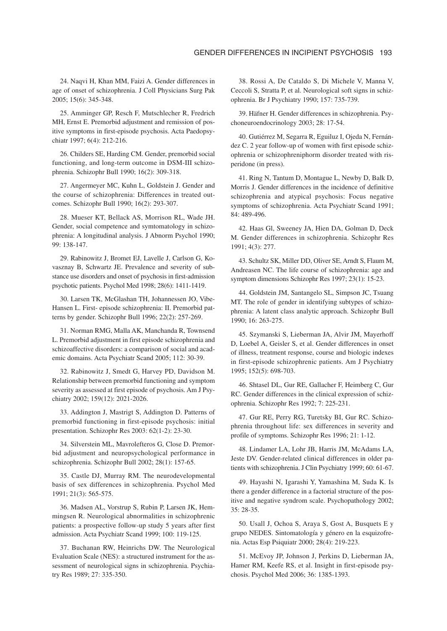24. Naqvi H, Khan MM, Faizi A. Gender differences in age of onset of schizophrenia. J Coll Physicians Surg Pak 2005; 15(6): 345-348.

25. Amminger GP, Resch F, Mutschlecher R, Fredrich MH, Ernst E. Premorbid adjustment and remission of positive symptoms in first-episode psychosis. Acta Paedopsychiatr 1997; 6(4): 212-216.

26. Childers SE, Harding CM. Gender, premorbid social functioning, and long-term outcome in DSM-III schizophrenia. Schizophr Bull 1990; 16(2): 309-318.

27. Angermeyer MC, Kuhn L, Goldstein J. Gender and the course of schizophrenia: Differences in treated outcomes. Schizophr Bull 1990; 16(2): 293-307.

28. Mueser KT, Bellack AS, Morrison RL, Wade JH. Gender, social competence and symtomatology in schizophrenia: A longitudinal analysis. J Abnorm Psychol 1990; 99: 138-147.

29. Rabinowitz J, Bromet EJ, Lavelle J, Carlson G, Kovasznay B, Schwartz JE. Prevalence and severity of substance use disorders and onset of psychosis in first-admission psychotic patients. Psychol Med 1998; 28(6): 1411-1419.

30. Larsen TK, McGlashan TH, Johannessen JO, Vibe-Hansen L. First- episode schizophrenia: II. Premorbid patterns by gender. Schizophr Bull 1996; 22(2): 257-269.

31. Norman RMG, Malla AK, Manchanda R, Townsend L. Premorbid adjustment in first episode schizophrenia and schizoaffective disorders: a comparison of social and academic domains. Acta Psychiatr Scand 2005; 112: 30-39.

32. Rabinowitz J, Smedt G, Harvey PD, Davidson M. Relationship between premorbid functioning and symptom severity as assessed at first episode of psychosis. Am J Psychiatry 2002; 159(12): 2021-2026.

33. Addington J, Mastrigt S, Addington D. Patterns of premorbid functioning in first-episode psychosis: initial presentation. Schizophr Res 2003: 62(1-2): 23-30.

34. Silverstein ML, Mavrolefteros G, Close D. Premorbid adjustment and neuropsychological performance in schizophrenia. Schizophr Bull 2002; 28(1): 157-65.

35. Castle DJ, Murray RM. The neurodevelopmental basis of sex differences in schizophrenia. Psychol Med 1991; 21(3): 565-575.

36. Madsen AL, Vorstrup S, Rubin P, Larsen JK, Hemmingsen R. Neurological abnormalities in schizophrenic patients: a prospective follow-up study 5 years after first admission. Acta Psychiatr Scand 1999; 100: 119-125.

37. Buchanan RW, Heinrichs DW. The Neurological Evaluation Scale (NES): a structured instrument for the assessment of neurological signs in schizophrenia. Psychiatry Res 1989; 27: 335-350.

38. Rossi A, De Cataldo S, Di Michele V, Manna V, Ceccoli S, Stratta P, et al. Neurological soft signs in schizophrenia. Br J Psychiatry 1990; 157: 735-739.

39. Häfner H. Gender differences in schizophrenia. Psychoneuroendocrinology 2003; 28: 17-54.

40. Gutiérrez M, Segarra R, Eguiluz I, Ojeda N, Fernández C. 2 year follow-up of women with first episode schizophrenia or schizophreniphorm disorder treated with risperidone (in press).

41. Ring N, Tantum D, Montague L, Newby D, Balk D, Morris J. Gender differences in the incidence of definitive schizophrenia and atypical psychosis: Focus negative symptoms of schizophrenia. Acta Psychiatr Scand 1991; 84: 489-496.

42. Haas Gl, Sweeney JA, Hien DA, Golman D, Deck M. Gender differences in schizophrenia. Schizophr Res 1991; 4(3): 277.

43. Schultz SK, Miller DD, Oliver SE, Arndt S, Flaum M, Andreasen NC. The life course of schizophrenia: age and symptom dimensions Schizophr Res 1997; 23(1): 15-23.

44. Goldstein JM, Santangelo SL, Simpson JC, Tsuang MT. The role of gender in identifying subtypes of schizophrenia: A latent class analytic approach. Schizophr Bull 1990; 16: 263-275.

45. Szymanski S, Lieberman JA, Alvir JM, Mayerhoff D, Loebel A, Geisler S, et al. Gender differences in onset of illness, treatment response, course and biologic indexes in first-episode schizophrenic patients. Am J Psychiatry 1995; 152(5): 698-703.

46. Shtasel DL, Gur RE, Gallacher F, Heimberg C, Gur RC. Gender differences in the clinical expression of schizophrenia. Schizophr Res 1992; 7: 225-231.

47. Gur RE, Perry RG, Turetsky BI, Gur RC. Schizophrenia throughout life: sex differences in severity and profile of symptoms. Schizophr Res 1996; 21: 1-12.

48. Lindamer LA, Lohr JB, Harris JM, McAdams LA, Jeste DV. Gender-related clinical differences in older patients with schizophrenia. J Clin Psychiatry 1999; 60: 61-67.

49. Hayashi N, Igarashi Y, Yamashina M, Suda K. Is there a gender difference in a factorial structure of the positive and negative syndrom scale. Psychopathology 2002; 35: 28-35.

50. Usall J, Ochoa S, Araya S, Gost A, Busquets E y grupo NEDES. Sintomatología y género en la esquizofrenia. Actas Esp Psiquiatr 2000; 28(4): 219-223.

51. McEvoy JP, Johnson J, Perkins D, Lieberman JA, Hamer RM, Keefe RS, et al. Insight in first-episode psychosis. Psychol Med 2006; 36: 1385-1393.